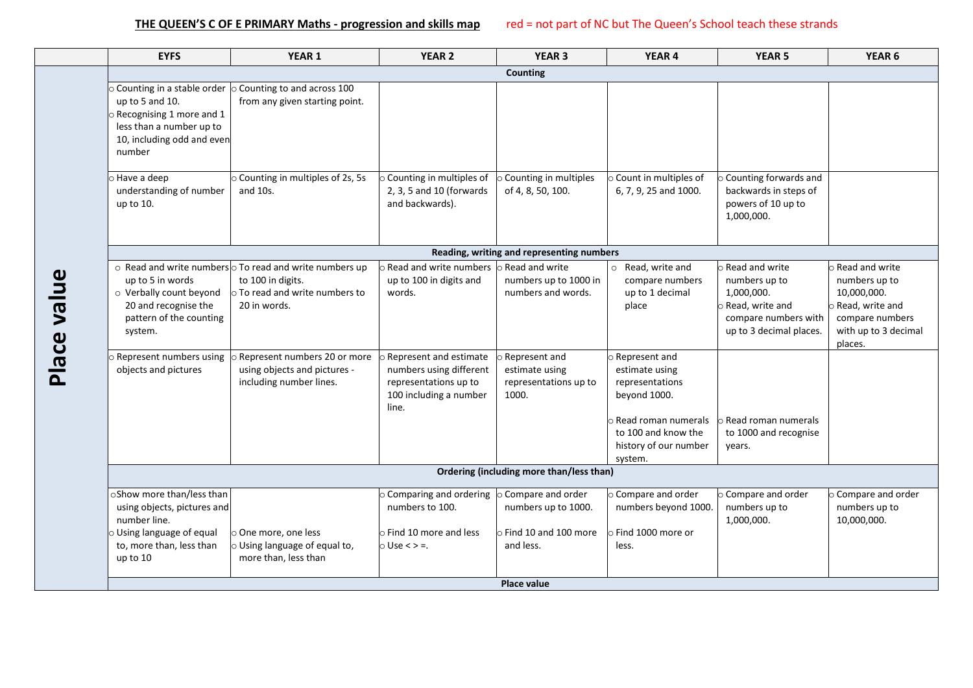| <b>EYFS</b>                                                                                                                                                                                         | YEAR 1                                                                                                                                           | <b>YEAR 2</b>                                                                                                   | <b>YEAR 3</b>                                                                           | YEAR 4                                                                                                                                                         | <b>YEAR 5</b>                                                                                                                 | YEAR <sub>6</sub>                                                                                                       |
|-----------------------------------------------------------------------------------------------------------------------------------------------------------------------------------------------------|--------------------------------------------------------------------------------------------------------------------------------------------------|-----------------------------------------------------------------------------------------------------------------|-----------------------------------------------------------------------------------------|----------------------------------------------------------------------------------------------------------------------------------------------------------------|-------------------------------------------------------------------------------------------------------------------------------|-------------------------------------------------------------------------------------------------------------------------|
|                                                                                                                                                                                                     |                                                                                                                                                  |                                                                                                                 | <b>Counting</b>                                                                         |                                                                                                                                                                |                                                                                                                               |                                                                                                                         |
| $\circ$ Counting in a stable order $\, \circ$ Counting to and across 100<br>up to 5 and 10.<br>$\circ$ Recognising 1 more and 1<br>less than a number up to<br>10, including odd and even<br>number | from any given starting point.                                                                                                                   |                                                                                                                 |                                                                                         |                                                                                                                                                                |                                                                                                                               |                                                                                                                         |
| $\circ$ Have a deep<br>understanding of number<br>up to 10.                                                                                                                                         | O Counting in multiples of 2s, 5s<br>and 10s.                                                                                                    | O Counting in multiples of<br>2, 3, 5 and 10 (forwards<br>and backwards).                                       | O Counting in multiples<br>of 4, 8, 50, 100.                                            | O Count in multiples of<br>6, 7, 9, 25 and 1000.                                                                                                               | $\circ$ Counting forwards and<br>backwards in steps of<br>powers of 10 up to<br>1,000,000.                                    |                                                                                                                         |
|                                                                                                                                                                                                     |                                                                                                                                                  |                                                                                                                 | Reading, writing and representing numbers                                               |                                                                                                                                                                |                                                                                                                               |                                                                                                                         |
| up to 5 in words<br>o Verbally count beyond<br>20 and recognise the<br>pattern of the counting<br>system.                                                                                           | $\circ$ Read and write numbers $\circ$ To read and write numbers up<br>to 100 in digits.<br>$\circ$ To read and write numbers to<br>20 in words. | $\circ$ Read and write numbers $\,$ Read and write<br>up to 100 in digits and<br>words.                         | numbers up to 1000 in<br>numbers and words.                                             | o Read, write and<br>compare numbers<br>up to 1 decimal<br>place                                                                                               | o Read and write<br>numbers up to<br>1,000,000.<br>$\circ$ Read, write and<br>compare numbers with<br>up to 3 decimal places. | Read and write<br>numbers up to<br>10,000,000.<br>Read, write and<br>compare numbers<br>with up to 3 decimal<br>places. |
| <b>Represent numbers using</b><br>objects and pictures                                                                                                                                              | Represent numbers 20 or more<br>using objects and pictures -<br>including number lines.                                                          | O Represent and estimate<br>numbers using different<br>representations up to<br>100 including a number<br>line. | Represent and<br>estimate using<br>representations up to<br>1000.                       | o Represent and<br>estimate using<br>representations<br>beyond 1000.<br>$\circ$ Read roman numerals<br>to 100 and know the<br>history of our number<br>system. | Read roman numerals<br>to 1000 and recognise<br>years.                                                                        |                                                                                                                         |
|                                                                                                                                                                                                     |                                                                                                                                                  |                                                                                                                 | Ordering (including more than/less than)                                                |                                                                                                                                                                |                                                                                                                               |                                                                                                                         |
| oShow more than/less than<br>using objects, pictures and<br>number line.<br>O Using language of equal<br>to, more than, less than<br>up to 10                                                       | One more, one less<br>O Using language of equal to,<br>more than, less than                                                                      | O Comparing and ordering<br>numbers to 100.<br>$\circ$ Find 10 more and less<br>$\circ$ Use < > =.              | O Compare and order<br>numbers up to 1000.<br>$\circ$ Find 10 and 100 more<br>and less. | O Compare and order<br>numbers beyond 1000.<br>o Find 1000 more or<br>less.                                                                                    | o Compare and order<br>numbers up to<br>1,000,000.                                                                            | O Compare and order<br>numbers up to<br>10,000,000.                                                                     |
|                                                                                                                                                                                                     |                                                                                                                                                  |                                                                                                                 | Place value                                                                             |                                                                                                                                                                |                                                                                                                               |                                                                                                                         |

# $\blacksquare$  $\overline{\mathbf{c}}$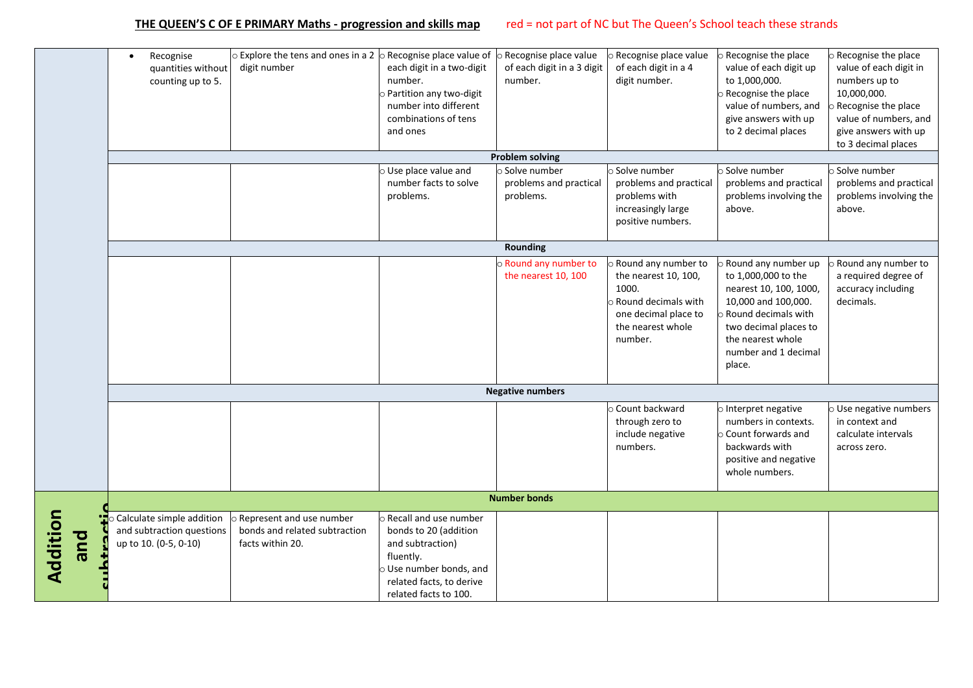|                 | Recognise<br>$\bullet$<br>quantities without<br>counting up to 5.               | $\circ$ Explore the tens and ones in a 2 $\circ$ Recognise place value of<br>digit number | each digit in a two-digit<br>number.<br>Partition any two-digit<br>number into different<br>combinations of tens<br>and ones                                         | o Recognise place value<br>of each digit in a 3 digit<br>number.<br><b>Problem solving</b> | o Recognise place value<br>of each digit in a 4<br>digit number.                                                                           | o Recognise the place<br>value of each digit up<br>to 1,000,000.<br>Recognise the place<br>value of numbers, and<br>give answers with up<br>to 2 decimal places                                           | Recognise the place<br>value of each digit in<br>numbers up to<br>10,000,000.<br>Recognise the place<br>value of numbers, and<br>give answers with up<br>to 3 decimal places |
|-----------------|---------------------------------------------------------------------------------|-------------------------------------------------------------------------------------------|----------------------------------------------------------------------------------------------------------------------------------------------------------------------|--------------------------------------------------------------------------------------------|--------------------------------------------------------------------------------------------------------------------------------------------|-----------------------------------------------------------------------------------------------------------------------------------------------------------------------------------------------------------|------------------------------------------------------------------------------------------------------------------------------------------------------------------------------|
|                 |                                                                                 |                                                                                           | Use place value and                                                                                                                                                  | o Solve number                                                                             | Solve number                                                                                                                               | o Solve number                                                                                                                                                                                            | Solve number                                                                                                                                                                 |
|                 |                                                                                 |                                                                                           | number facts to solve<br>problems.                                                                                                                                   | problems and practical<br>problems.                                                        | problems and practical<br>problems with<br>increasingly large<br>positive numbers.                                                         | problems and practical<br>problems involving the<br>above.                                                                                                                                                | problems and practical<br>problems involving the<br>above.                                                                                                                   |
|                 |                                                                                 |                                                                                           |                                                                                                                                                                      | Rounding                                                                                   |                                                                                                                                            |                                                                                                                                                                                                           |                                                                                                                                                                              |
|                 |                                                                                 |                                                                                           |                                                                                                                                                                      | o Round any number to<br>the nearest 10, 100                                               | Round any number to<br>the nearest 10, 100,<br>1000.<br><b>Round decimals with</b><br>one decimal place to<br>the nearest whole<br>number. | <b>Round any number up</b><br>to 1,000,000 to the<br>nearest 10, 100, 1000,<br>10,000 and 100,000.<br>Round decimals with<br>two decimal places to<br>the nearest whole<br>number and 1 decimal<br>place. | Round any number to<br>a required degree of<br>accuracy including<br>decimals.                                                                                               |
|                 |                                                                                 |                                                                                           |                                                                                                                                                                      | <b>Negative numbers</b>                                                                    |                                                                                                                                            |                                                                                                                                                                                                           |                                                                                                                                                                              |
|                 |                                                                                 |                                                                                           |                                                                                                                                                                      |                                                                                            | Ocunt backward<br>through zero to<br>include negative<br>numbers.                                                                          | o Interpret negative<br>numbers in contexts.<br>Count forwards and<br>backwards with<br>positive and negative<br>whole numbers.                                                                           | Use negative numbers<br>in context and<br>calculate intervals<br>across zero.                                                                                                |
|                 |                                                                                 |                                                                                           |                                                                                                                                                                      | <b>Number bonds</b>                                                                        |                                                                                                                                            |                                                                                                                                                                                                           |                                                                                                                                                                              |
| Addition<br>bue | Calculate simple addition<br>and subtraction questions<br>up to 10. (0-5, 0-10) | Represent and use number<br>bonds and related subtraction<br>facts within 20.             | <b>Recall and use number</b><br>bonds to 20 (addition<br>and subtraction)<br>fluently.<br>Use number bonds, and<br>related facts, to derive<br>related facts to 100. |                                                                                            |                                                                                                                                            |                                                                                                                                                                                                           |                                                                                                                                                                              |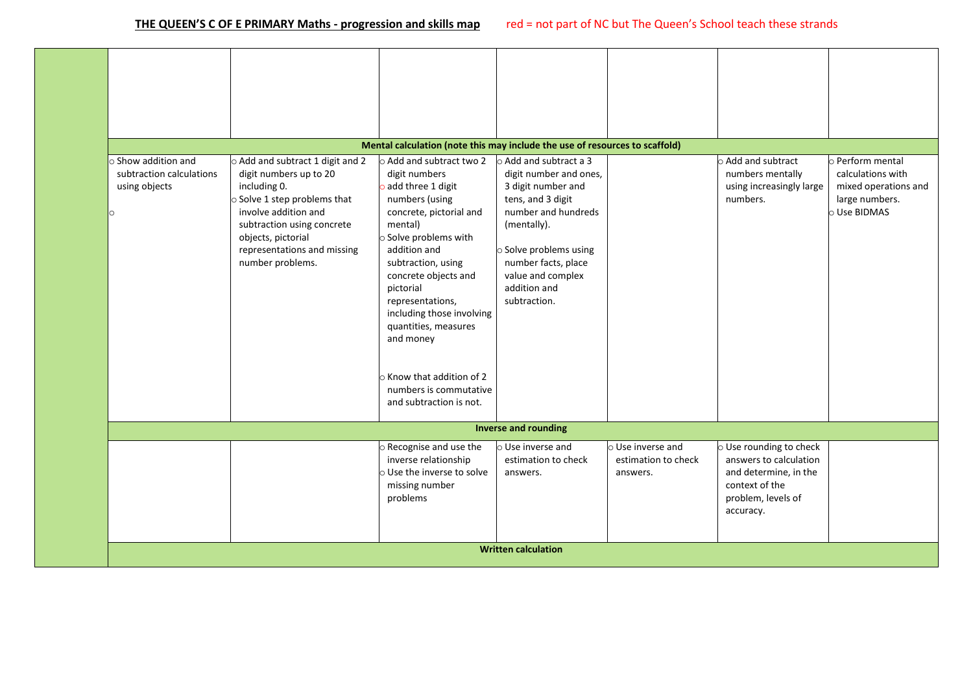|                                                                                    |                                                                                                                                                                                                                                                       | Mental calculation (note this may include the use of resources to scaffold)                                                                                                                                                                                                                                                                                                         |                                                                                                                                                                                                                                               |                                                      |                                                                                                                                 |                                                                                                 |
|------------------------------------------------------------------------------------|-------------------------------------------------------------------------------------------------------------------------------------------------------------------------------------------------------------------------------------------------------|-------------------------------------------------------------------------------------------------------------------------------------------------------------------------------------------------------------------------------------------------------------------------------------------------------------------------------------------------------------------------------------|-----------------------------------------------------------------------------------------------------------------------------------------------------------------------------------------------------------------------------------------------|------------------------------------------------------|---------------------------------------------------------------------------------------------------------------------------------|-------------------------------------------------------------------------------------------------|
| $\circ$ Show addition and<br>subtraction calculations<br>using objects<br>$\Omega$ | $\circ$ Add and subtract 1 digit and 2<br>digit numbers up to 20<br>including 0.<br>$\circ$ Solve 1 step problems that<br>involve addition and<br>subtraction using concrete<br>objects, pictorial<br>representations and missing<br>number problems. | $\circ$ Add and subtract two 2<br>digit numbers<br>add three 1 digit<br>numbers (using<br>concrete, pictorial and<br>mental)<br>o Solve problems with<br>addition and<br>subtraction, using<br>concrete objects and<br>pictorial<br>representations,<br>including those involving<br>quantities, measures<br>and money<br>$\circ$ Know that addition of 2<br>numbers is commutative | $\circ$ Add and subtract a 3<br>digit number and ones,<br>3 digit number and<br>tens, and 3 digit<br>number and hundreds<br>(mentally).<br>o Solve problems using<br>number facts, place<br>value and complex<br>addition and<br>subtraction. |                                                      | o Add and subtract<br>numbers mentally<br>using increasingly large<br>numbers.                                                  | o Perform mental<br>calculations with<br>mixed operations and<br>large numbers.<br>o Use BIDMAS |
|                                                                                    |                                                                                                                                                                                                                                                       | and subtraction is not.                                                                                                                                                                                                                                                                                                                                                             |                                                                                                                                                                                                                                               |                                                      |                                                                                                                                 |                                                                                                 |
|                                                                                    |                                                                                                                                                                                                                                                       |                                                                                                                                                                                                                                                                                                                                                                                     | <b>Inverse and rounding</b>                                                                                                                                                                                                                   |                                                      |                                                                                                                                 |                                                                                                 |
|                                                                                    |                                                                                                                                                                                                                                                       | o Recognise and use the<br>inverse relationship<br>O Use the inverse to solve<br>missing number<br>problems                                                                                                                                                                                                                                                                         | $\circ$ Use inverse and<br>estimation to check<br>answers.                                                                                                                                                                                    | o Use inverse and<br>estimation to check<br>answers. | O Use rounding to check<br>answers to calculation<br>and determine, in the<br>context of the<br>problem, levels of<br>accuracy. |                                                                                                 |
|                                                                                    |                                                                                                                                                                                                                                                       |                                                                                                                                                                                                                                                                                                                                                                                     | <b>Written calculation</b>                                                                                                                                                                                                                    |                                                      |                                                                                                                                 |                                                                                                 |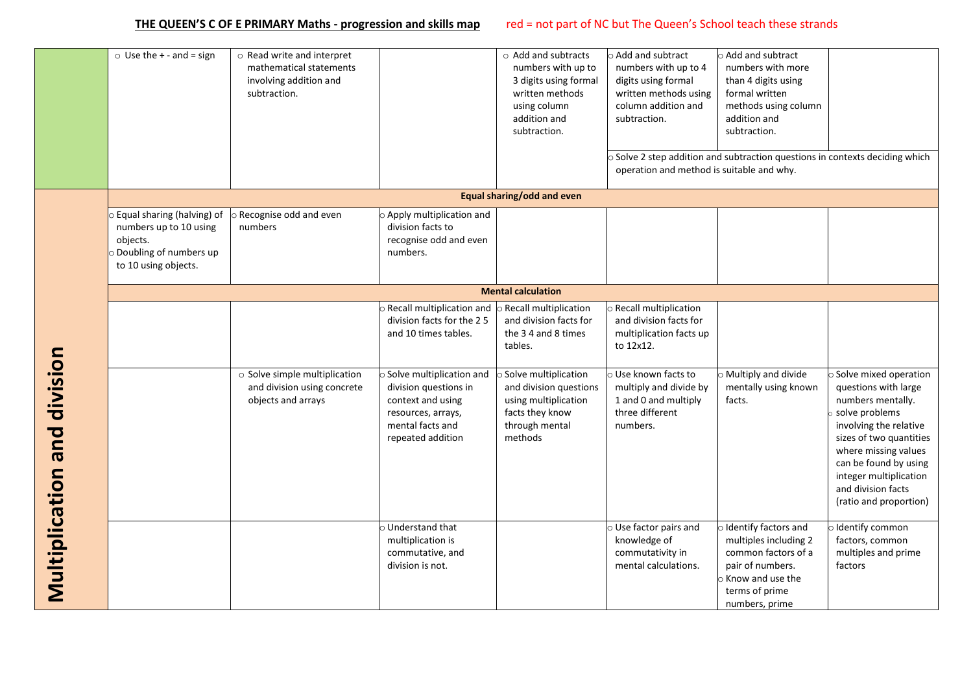|                                      | $\circ$ Use the + - and = sign                                                                                       | o Read write and interpret<br>mathematical statements<br>involving addition and<br>subtraction. |                                                                                                                                       | o Add and subtracts<br>numbers with up to<br>3 digits using formal<br>written methods<br>using column<br>addition and<br>subtraction. | o Add and subtract<br>numbers with up to 4<br>digits using formal<br>written methods using<br>column addition and<br>subtraction.<br>operation and method is suitable and why. | Add and subtract<br>numbers with more<br>than 4 digits using<br>formal written<br>methods using column<br>addition and<br>subtraction.<br>Solve 2 step addition and subtraction questions in contexts deciding which |                                                                                                                                                                                                                                                                      |
|--------------------------------------|----------------------------------------------------------------------------------------------------------------------|-------------------------------------------------------------------------------------------------|---------------------------------------------------------------------------------------------------------------------------------------|---------------------------------------------------------------------------------------------------------------------------------------|--------------------------------------------------------------------------------------------------------------------------------------------------------------------------------|----------------------------------------------------------------------------------------------------------------------------------------------------------------------------------------------------------------------|----------------------------------------------------------------------------------------------------------------------------------------------------------------------------------------------------------------------------------------------------------------------|
|                                      |                                                                                                                      |                                                                                                 |                                                                                                                                       | Equal sharing/odd and even                                                                                                            |                                                                                                                                                                                |                                                                                                                                                                                                                      |                                                                                                                                                                                                                                                                      |
|                                      | o Equal sharing (halving) of<br>numbers up to 10 using<br>objects.<br>Doubling of numbers up<br>to 10 using objects. | o Recognise odd and even<br>numbers                                                             | Apply multiplication and<br>division facts to<br>recognise odd and even<br>numbers.                                                   |                                                                                                                                       |                                                                                                                                                                                |                                                                                                                                                                                                                      |                                                                                                                                                                                                                                                                      |
|                                      |                                                                                                                      |                                                                                                 |                                                                                                                                       | <b>Mental calculation</b>                                                                                                             |                                                                                                                                                                                |                                                                                                                                                                                                                      |                                                                                                                                                                                                                                                                      |
|                                      |                                                                                                                      |                                                                                                 | Recall multiplication and<br>division facts for the 25<br>and 10 times tables.                                                        | Recall multiplication<br>and division facts for<br>the 34 and 8 times<br>tables.                                                      | O Recall multiplication<br>and division facts for<br>multiplication facts up<br>to 12x12.                                                                                      |                                                                                                                                                                                                                      |                                                                                                                                                                                                                                                                      |
| <b>TIOISINID DIID INIDIALITISINI</b> |                                                                                                                      | o Solve simple multiplication<br>and division using concrete<br>objects and arrays              | Solve multiplication and<br>division questions in<br>context and using<br>resources, arrays,<br>mental facts and<br>repeated addition | Solve multiplication<br>and division questions<br>using multiplication<br>facts they know<br>through mental<br>methods                | o Use known facts to<br>multiply and divide by<br>1 and 0 and multiply<br>three different<br>numbers.                                                                          | Multiply and divide<br>mentally using known<br>facts.                                                                                                                                                                | Solve mixed operation<br>questions with large<br>numbers mentally.<br>solve problems<br>involving the relative<br>sizes of two quantities<br>where missing values<br>can be found by using<br>integer multiplication<br>and division facts<br>(ratio and proportion) |
|                                      |                                                                                                                      |                                                                                                 | o Understand that<br>multiplication is<br>commutative, and<br>division is not.                                                        |                                                                                                                                       | O Use factor pairs and<br>knowledge of<br>commutativity in<br>mental calculations.                                                                                             | Identify factors and<br>multiples including 2<br>common factors of a<br>pair of numbers.<br>Know and use the<br>terms of prime<br>numbers, prime                                                                     | Identify common<br>factors, common<br>multiples and prime<br>factors                                                                                                                                                                                                 |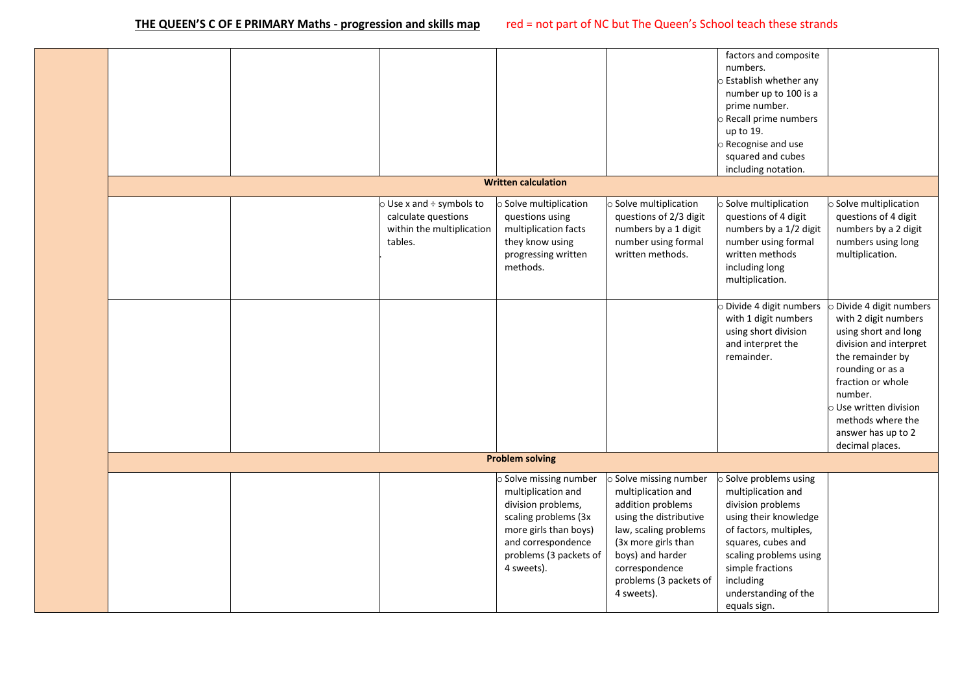|  |                                     |                              |                        | factors and composite        |                              |
|--|-------------------------------------|------------------------------|------------------------|------------------------------|------------------------------|
|  |                                     |                              |                        | numbers.                     |                              |
|  |                                     |                              |                        | <b>Establish whether any</b> |                              |
|  |                                     |                              |                        | number up to 100 is a        |                              |
|  |                                     |                              |                        | prime number.                |                              |
|  |                                     |                              |                        | Recall prime numbers         |                              |
|  |                                     |                              |                        | up to 19.                    |                              |
|  |                                     |                              |                        |                              |                              |
|  |                                     |                              |                        | o Recognise and use          |                              |
|  |                                     |                              |                        | squared and cubes            |                              |
|  |                                     |                              |                        | including notation.          |                              |
|  |                                     | <b>Written calculation</b>   |                        |                              |                              |
|  | $\circ$ Use x and $\div$ symbols to | $\circ$ Solve multiplication | o Solve multiplication | o Solve multiplication       | o Solve multiplication       |
|  | calculate questions                 | questions using              | questions of 2/3 digit | questions of 4 digit         | questions of 4 digit         |
|  | within the multiplication           | multiplication facts         | numbers by a 1 digit   | numbers by a 1/2 digit       | numbers by a 2 digit         |
|  | tables.                             | they know using              | number using formal    | number using formal          | numbers using long           |
|  |                                     | progressing written          | written methods.       | written methods              | multiplication.              |
|  |                                     | methods.                     |                        | including long               |                              |
|  |                                     |                              |                        | multiplication.              |                              |
|  |                                     |                              |                        |                              |                              |
|  |                                     |                              |                        | Divide 4 digit numbers       | Divide 4 digit numbers       |
|  |                                     |                              |                        | with 1 digit numbers         | with 2 digit numbers         |
|  |                                     |                              |                        | using short division         | using short and long         |
|  |                                     |                              |                        | and interpret the            | division and interpret       |
|  |                                     |                              |                        |                              |                              |
|  |                                     |                              |                        | remainder.                   | the remainder by             |
|  |                                     |                              |                        |                              | rounding or as a             |
|  |                                     |                              |                        |                              | fraction or whole            |
|  |                                     |                              |                        |                              | number.                      |
|  |                                     |                              |                        |                              | $\circ$ Use written division |
|  |                                     |                              |                        |                              | methods where the            |
|  |                                     |                              |                        |                              | answer has up to 2           |
|  |                                     |                              |                        |                              | decimal places.              |
|  |                                     | <b>Problem solving</b>       |                        |                              |                              |
|  |                                     | Solve missing number         | Solve missing number   | Solve problems using         |                              |
|  |                                     | multiplication and           | multiplication and     | multiplication and           |                              |
|  |                                     | division problems,           | addition problems      | division problems            |                              |
|  |                                     | scaling problems (3x         | using the distributive | using their knowledge        |                              |
|  |                                     | more girls than boys)        | law, scaling problems  | of factors, multiples,       |                              |
|  |                                     | and correspondence           | (3x more girls than    | squares, cubes and           |                              |
|  |                                     | problems (3 packets of       | boys) and harder       | scaling problems using       |                              |
|  |                                     |                              |                        |                              |                              |
|  |                                     | 4 sweets).                   | correspondence         | simple fractions             |                              |
|  |                                     |                              | problems (3 packets of | including                    |                              |
|  |                                     |                              | 4 sweets).             | understanding of the         |                              |
|  |                                     |                              |                        | equals sign.                 |                              |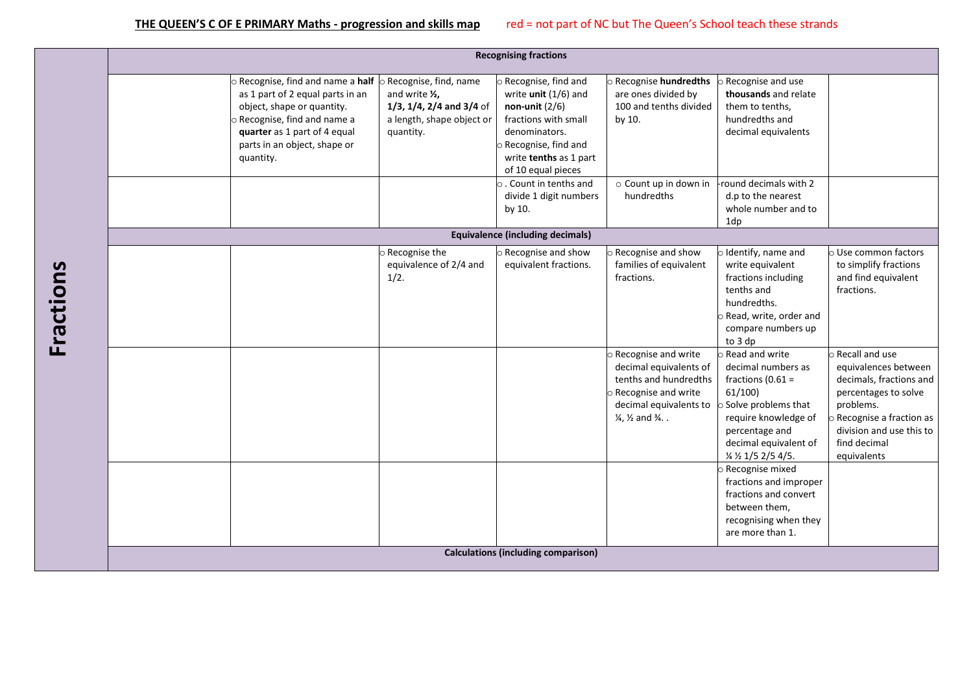|                                                                                                                                                                                                                                                      |                                                                                                | <b>Recognising fractions</b>                                                                                                                                                          |                                                                                                                                                                              |                                                                                                                                                                                         |                                                                                                                                                                                                |
|------------------------------------------------------------------------------------------------------------------------------------------------------------------------------------------------------------------------------------------------------|------------------------------------------------------------------------------------------------|---------------------------------------------------------------------------------------------------------------------------------------------------------------------------------------|------------------------------------------------------------------------------------------------------------------------------------------------------------------------------|-----------------------------------------------------------------------------------------------------------------------------------------------------------------------------------------|------------------------------------------------------------------------------------------------------------------------------------------------------------------------------------------------|
| $\circ$ Recognise, find and name a half $\circ$ Recognise, find, name<br>as 1 part of 2 equal parts in an<br>object, shape or quantity.<br>o Recognise, find and name a<br>quarter as 1 part of 4 equal<br>parts in an object, shape or<br>quantity. | and write 1/2,<br>$1/3$ , $1/4$ , $2/4$ and $3/4$ of<br>a length, shape object or<br>quantity. | o Recognise, find and<br>write $unit (1/6)$ and<br>non-unit $(2/6)$<br>fractions with small<br>denominators.<br>O Recognise, find and<br>write tenths as 1 part<br>of 10 equal pieces | <b>Recognise hundredths</b><br>are ones divided by<br>100 and tenths divided<br>by 10.                                                                                       | o Recognise and use<br>thousands and relate<br>them to tenths,<br>hundredths and<br>decimal equivalents                                                                                 |                                                                                                                                                                                                |
|                                                                                                                                                                                                                                                      |                                                                                                | $\circ$ . Count in tenths and<br>divide 1 digit numbers<br>by 10.                                                                                                                     | o Count up in down in<br>hundredths                                                                                                                                          | round decimals with 2<br>d.p to the nearest<br>whole number and to<br>1dp                                                                                                               |                                                                                                                                                                                                |
|                                                                                                                                                                                                                                                      |                                                                                                | <b>Equivalence (including decimals)</b>                                                                                                                                               |                                                                                                                                                                              |                                                                                                                                                                                         |                                                                                                                                                                                                |
|                                                                                                                                                                                                                                                      | Recognise the<br>equivalence of 2/4 and<br>1/2.                                                | O Recognise and show<br>equivalent fractions.                                                                                                                                         | Recognise and show<br>families of equivalent<br>fractions.                                                                                                                   | o Identify, name and<br>write equivalent<br>fractions including<br>tenths and<br>hundredths.<br>o Read, write, order and<br>compare numbers up<br>to 3 dp                               | O Use common factors<br>to simplify fractions<br>and find equivalent<br>fractions.                                                                                                             |
|                                                                                                                                                                                                                                                      |                                                                                                |                                                                                                                                                                                       | o Recognise and write<br>decimal equivalents of<br>tenths and hundredths<br>Recognise and write<br>decimal equivalents to<br>$\frac{1}{4}$ , $\frac{1}{2}$ and $\frac{3}{4}$ | o Read and write<br>decimal numbers as<br>fractions $(0.61 =$<br>61/100<br>o Solve problems that<br>require knowledge of<br>percentage and<br>decimal equivalent of<br>1/4 1/5 2/5 4/5. | o Recall and use<br>equivalences between<br>decimals, fractions and<br>percentages to solve<br>problems.<br>Recognise a fraction as<br>division and use this to<br>find decimal<br>equivalents |
|                                                                                                                                                                                                                                                      |                                                                                                |                                                                                                                                                                                       |                                                                                                                                                                              | o Recognise mixed<br>fractions and improper<br>fractions and convert<br>between them,<br>recognising when they<br>are more than 1.                                                      |                                                                                                                                                                                                |
|                                                                                                                                                                                                                                                      |                                                                                                | <b>Calculations (including comparison)</b>                                                                                                                                            |                                                                                                                                                                              |                                                                                                                                                                                         |                                                                                                                                                                                                |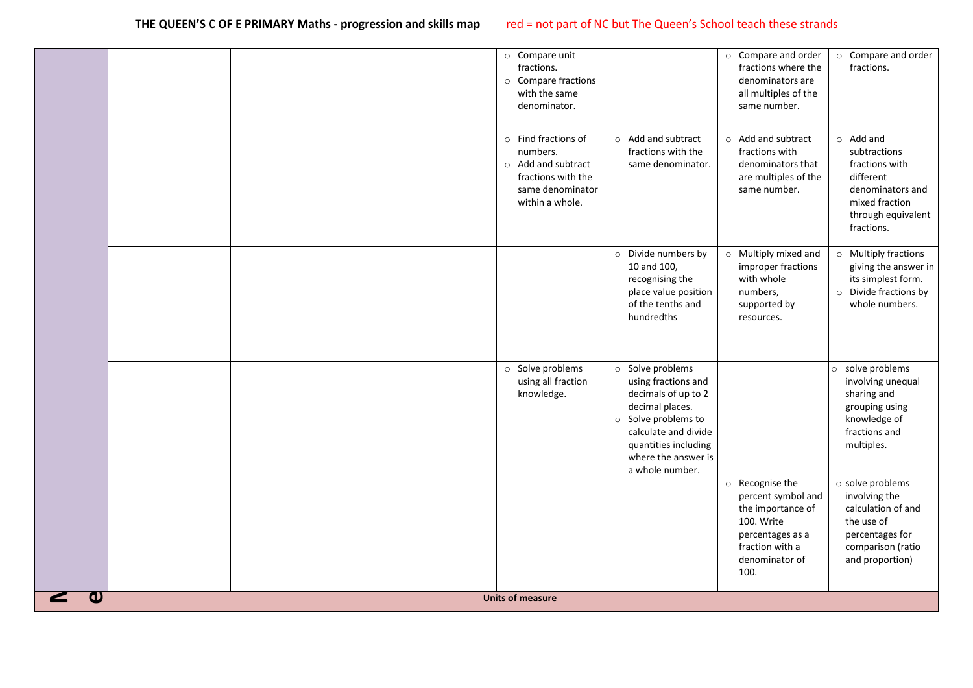|                       |  | $\circ$ Compare unit<br>fractions.<br>o Compare fractions<br>with the same<br>denominator.                               |                                                                                                                                                                                                             | o Compare and order<br>fractions where the<br>denominators are<br>all multiples of the<br>same number.                                    | o Compare and order<br>fractions.                                                                                                        |
|-----------------------|--|--------------------------------------------------------------------------------------------------------------------------|-------------------------------------------------------------------------------------------------------------------------------------------------------------------------------------------------------------|-------------------------------------------------------------------------------------------------------------------------------------------|------------------------------------------------------------------------------------------------------------------------------------------|
|                       |  | $\circ$ Find fractions of<br>numbers.<br>o Add and subtract<br>fractions with the<br>same denominator<br>within a whole. | o Add and subtract<br>fractions with the<br>same denominator.                                                                                                                                               | o Add and subtract<br>fractions with<br>denominators that<br>are multiples of the<br>same number.                                         | $\circ$ Add and<br>subtractions<br>fractions with<br>different<br>denominators and<br>mixed fraction<br>through equivalent<br>fractions. |
|                       |  |                                                                                                                          | o Divide numbers by<br>10 and 100,<br>recognising the<br>place value position<br>of the tenths and<br>hundredths                                                                                            | o Multiply mixed and<br>improper fractions<br>with whole<br>numbers,<br>supported by<br>resources.                                        | o Multiply fractions<br>giving the answer in<br>its simplest form.<br>o Divide fractions by<br>whole numbers.                            |
|                       |  | o Solve problems<br>using all fraction<br>knowledge.                                                                     | Solve problems<br>$\circ$<br>using fractions and<br>decimals of up to 2<br>decimal places.<br>o Solve problems to<br>calculate and divide<br>quantities including<br>where the answer is<br>a whole number. |                                                                                                                                           | o solve problems<br>involving unequal<br>sharing and<br>grouping using<br>knowledge of<br>fractions and<br>multiples.                    |
|                       |  |                                                                                                                          |                                                                                                                                                                                                             | o Recognise the<br>percent symbol and<br>the importance of<br>100. Write<br>percentages as a<br>fraction with a<br>denominator of<br>100. | o solve problems<br>involving the<br>calculation of and<br>the use of<br>percentages for<br>comparison (ratio<br>and proportion)         |
| $\boldsymbol{\omega}$ |  | <b>Units of measure</b>                                                                                                  |                                                                                                                                                                                                             |                                                                                                                                           |                                                                                                                                          |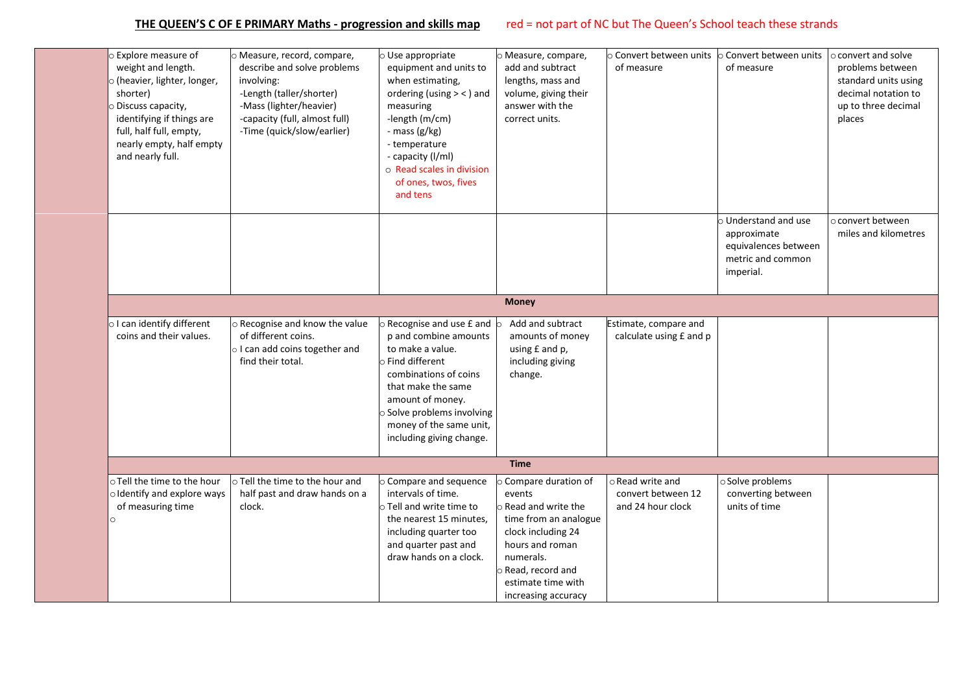| <b>Explore measure of</b><br>weight and length.<br>o (heavier, lighter, longer,<br>shorter)<br>O Discuss capacity,<br>identifying if things are<br>full, half full, empty,<br>nearly empty, half empty<br>and nearly full. | O Measure, record, compare,<br>describe and solve problems<br>involving:<br>-Length (taller/shorter)<br>-Mass (lighter/heavier)<br>-capacity (full, almost full)<br>-Time (quick/slow/earlier) | $\circ$ Use appropriate<br>equipment and units to<br>when estimating,<br>ordering (using $>$ < ) and<br>measuring<br>-length (m/cm)<br>- mass (g/kg)<br>- temperature<br>- capacity (I/ml)<br>o Read scales in division<br>of ones, twos, fives<br>and tens | o Measure, compare,<br>add and subtract<br>lengths, mass and<br>volume, giving their<br>answer with the<br>correct units.                                                    | $\circ$ Convert between units<br>of measure                 | $\circ$ Convert between units<br>of measure                                                   | o convert and solve<br>problems between<br>standard units using<br>decimal notation to<br>up to three decimal<br>places |
|----------------------------------------------------------------------------------------------------------------------------------------------------------------------------------------------------------------------------|------------------------------------------------------------------------------------------------------------------------------------------------------------------------------------------------|-------------------------------------------------------------------------------------------------------------------------------------------------------------------------------------------------------------------------------------------------------------|------------------------------------------------------------------------------------------------------------------------------------------------------------------------------|-------------------------------------------------------------|-----------------------------------------------------------------------------------------------|-------------------------------------------------------------------------------------------------------------------------|
|                                                                                                                                                                                                                            |                                                                                                                                                                                                |                                                                                                                                                                                                                                                             |                                                                                                                                                                              |                                                             | o Understand and use<br>approximate<br>equivalences between<br>metric and common<br>imperial. | o convert between<br>miles and kilometres                                                                               |
|                                                                                                                                                                                                                            |                                                                                                                                                                                                |                                                                                                                                                                                                                                                             | <b>Money</b>                                                                                                                                                                 |                                                             |                                                                                               |                                                                                                                         |
| o I can identify different                                                                                                                                                                                                 | o Recognise and know the value                                                                                                                                                                 | O Recognise and use £ and                                                                                                                                                                                                                                   | Add and subtract                                                                                                                                                             | Estimate, compare and                                       |                                                                                               |                                                                                                                         |
| coins and their values.                                                                                                                                                                                                    | of different coins.<br>o I can add coins together and<br>find their total.                                                                                                                     | p and combine amounts<br>to make a value.<br>o Find different<br>combinations of coins<br>that make the same<br>amount of money.<br>o Solve problems involving<br>money of the same unit,<br>including giving change.                                       | amounts of money<br>using £ and p,<br>including giving<br>change.                                                                                                            | calculate using £ and p                                     |                                                                                               |                                                                                                                         |
|                                                                                                                                                                                                                            |                                                                                                                                                                                                |                                                                                                                                                                                                                                                             | <b>Time</b>                                                                                                                                                                  |                                                             |                                                                                               |                                                                                                                         |
| o Tell the time to the hour<br>oldentify and explore ways<br>of measuring time<br>O                                                                                                                                        | o Tell the time to the hour and<br>half past and draw hands on a<br>clock.                                                                                                                     | O Compare and sequence<br>intervals of time.<br>$\circ$ Tell and write time to<br>the nearest 15 minutes,<br>including quarter too<br>and quarter past and<br>draw hands on a clock.                                                                        | Compare duration of<br>events<br>Read and write the<br>time from an analogue<br>clock including 24<br>hours and roman<br>numerals.<br>Read, record and<br>estimate time with | o Read write and<br>convert between 12<br>and 24 hour clock | o Solve problems<br>converting between<br>units of time                                       |                                                                                                                         |
|                                                                                                                                                                                                                            |                                                                                                                                                                                                |                                                                                                                                                                                                                                                             | increasing accuracy                                                                                                                                                          |                                                             |                                                                                               |                                                                                                                         |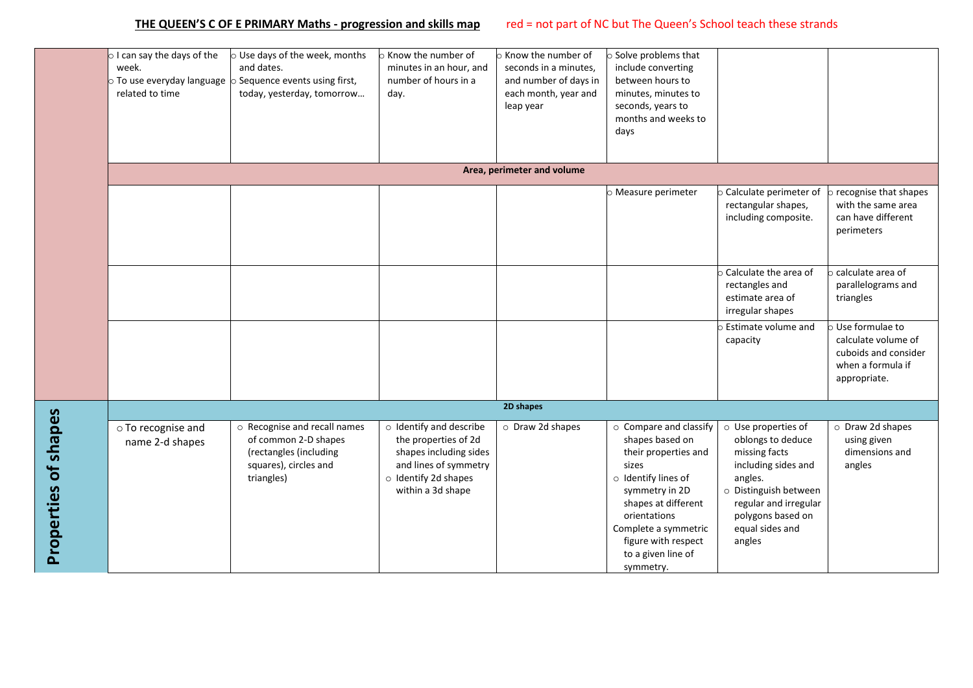|                      | $\circ$ I can say the days of the<br>week.<br>$\circ$ To use everyday language<br>related to time | $\circ$ Use days of the week, months<br>and dates.<br>o Sequence events using first,<br>today, yesterday, tomorrow    | $\circ$ Know the number of<br>minutes in an hour, and<br>number of hours in a<br>day.                                                           | $\circ$ Know the number of<br>seconds in a minutes,<br>and number of days in<br>each month, year and<br>leap year | o Solve problems that<br>include converting<br>between hours to<br>minutes, minutes to<br>seconds, years to<br>months and weeks to<br>days                                                                                                   |                                                                                                                                                                                                 |                                                                                                     |
|----------------------|---------------------------------------------------------------------------------------------------|-----------------------------------------------------------------------------------------------------------------------|-------------------------------------------------------------------------------------------------------------------------------------------------|-------------------------------------------------------------------------------------------------------------------|----------------------------------------------------------------------------------------------------------------------------------------------------------------------------------------------------------------------------------------------|-------------------------------------------------------------------------------------------------------------------------------------------------------------------------------------------------|-----------------------------------------------------------------------------------------------------|
|                      |                                                                                                   |                                                                                                                       |                                                                                                                                                 | Area, perimeter and volume                                                                                        |                                                                                                                                                                                                                                              |                                                                                                                                                                                                 |                                                                                                     |
|                      |                                                                                                   |                                                                                                                       |                                                                                                                                                 |                                                                                                                   | o Measure perimeter                                                                                                                                                                                                                          | Calculate perimeter of<br>rectangular shapes,<br>including composite.                                                                                                                           | recognise that shapes<br>with the same area<br>can have different<br>perimeters                     |
|                      |                                                                                                   |                                                                                                                       |                                                                                                                                                 |                                                                                                                   |                                                                                                                                                                                                                                              | Calculate the area of<br>rectangles and<br>estimate area of<br>irregular shapes                                                                                                                 | calculate area of<br>parallelograms and<br>triangles                                                |
|                      |                                                                                                   |                                                                                                                       |                                                                                                                                                 |                                                                                                                   |                                                                                                                                                                                                                                              | Estimate volume and<br>capacity                                                                                                                                                                 | Use formulae to<br>calculate volume of<br>cuboids and consider<br>when a formula if<br>appropriate. |
|                      |                                                                                                   |                                                                                                                       |                                                                                                                                                 | 2D shapes                                                                                                         |                                                                                                                                                                                                                                              |                                                                                                                                                                                                 |                                                                                                     |
| Properties of shapes | o To recognise and<br>name 2-d shapes                                                             | o Recognise and recall names<br>of common 2-D shapes<br>(rectangles (including<br>squares), circles and<br>triangles) | o Identify and describe<br>the properties of 2d<br>shapes including sides<br>and lines of symmetry<br>o Identify 2d shapes<br>within a 3d shape | O Draw 2d shapes                                                                                                  | o Compare and classify<br>shapes based on<br>their properties and<br>sizes<br>o Identify lines of<br>symmetry in 2D<br>shapes at different<br>orientations<br>Complete a symmetric<br>figure with respect<br>to a given line of<br>symmetry. | o Use properties of<br>oblongs to deduce<br>missing facts<br>including sides and<br>angles.<br>o Distinguish between<br>regular and irregular<br>polygons based on<br>equal sides and<br>angles | O Draw 2d shapes<br>using given<br>dimensions and<br>angles                                         |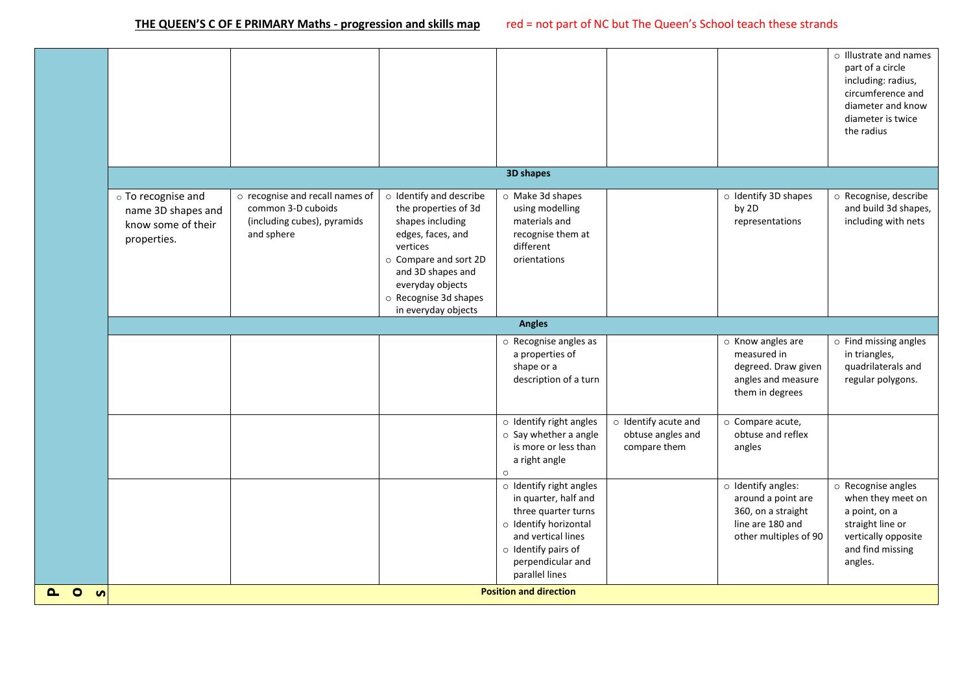**P**

|                |                                                                               |                                                                                                    |                                                                                                                                                                                                                        |                                                                                                                                                                                                 |                                                           |                                                                                                                   | o Illustrate and names<br>part of a circle<br>including: radius,<br>circumference and<br>diameter and know<br>diameter is twice<br>the radius |
|----------------|-------------------------------------------------------------------------------|----------------------------------------------------------------------------------------------------|------------------------------------------------------------------------------------------------------------------------------------------------------------------------------------------------------------------------|-------------------------------------------------------------------------------------------------------------------------------------------------------------------------------------------------|-----------------------------------------------------------|-------------------------------------------------------------------------------------------------------------------|-----------------------------------------------------------------------------------------------------------------------------------------------|
|                |                                                                               |                                                                                                    |                                                                                                                                                                                                                        | 3D shapes                                                                                                                                                                                       |                                                           |                                                                                                                   |                                                                                                                                               |
|                | o To recognise and<br>name 3D shapes and<br>know some of their<br>properties. | o recognise and recall names of<br>common 3-D cuboids<br>(including cubes), pyramids<br>and sphere | o Identify and describe<br>the properties of 3d<br>shapes including<br>edges, faces, and<br>vertices<br>○ Compare and sort 2D<br>and 3D shapes and<br>everyday objects<br>o Recognise 3d shapes<br>in everyday objects | o Make 3d shapes<br>using modelling<br>materials and<br>recognise them at<br>different<br>orientations                                                                                          |                                                           | o Identify 3D shapes<br>by 2D<br>representations                                                                  | o Recognise, describe<br>and build 3d shapes,<br>including with nets                                                                          |
|                |                                                                               |                                                                                                    |                                                                                                                                                                                                                        | <b>Angles</b>                                                                                                                                                                                   |                                                           |                                                                                                                   |                                                                                                                                               |
|                |                                                                               |                                                                                                    |                                                                                                                                                                                                                        | $\circ$ Recognise angles as<br>a properties of<br>shape or a<br>description of a turn                                                                                                           |                                                           | o Know angles are<br>measured in<br>degreed. Draw given<br>angles and measure<br>them in degrees                  | $\circ$ Find missing angles<br>in triangles,<br>quadrilaterals and<br>regular polygons.                                                       |
|                |                                                                               |                                                                                                    |                                                                                                                                                                                                                        | $\circ$ Identify right angles<br>$\circ$ Say whether a angle<br>is more or less than<br>a right angle<br>$\circ$                                                                                | o Identify acute and<br>obtuse angles and<br>compare them | o Compare acute,<br>obtuse and reflex<br>angles                                                                   |                                                                                                                                               |
|                |                                                                               |                                                                                                    |                                                                                                                                                                                                                        | $\circ$ Identify right angles<br>in quarter, half and<br>three quarter turns<br>o Identify horizontal<br>and vertical lines<br>$\circ$ Identify pairs of<br>perpendicular and<br>parallel lines |                                                           | $\circ$ Identify angles:<br>around a point are<br>360, on a straight<br>line are 180 and<br>other multiples of 90 | o Recognise angles<br>when they meet on<br>a point, on a<br>straight line or<br>vertically opposite<br>and find missing<br>angles.            |
| $\bullet$<br>ທ |                                                                               |                                                                                                    |                                                                                                                                                                                                                        | <b>Position and direction</b>                                                                                                                                                                   |                                                           |                                                                                                                   |                                                                                                                                               |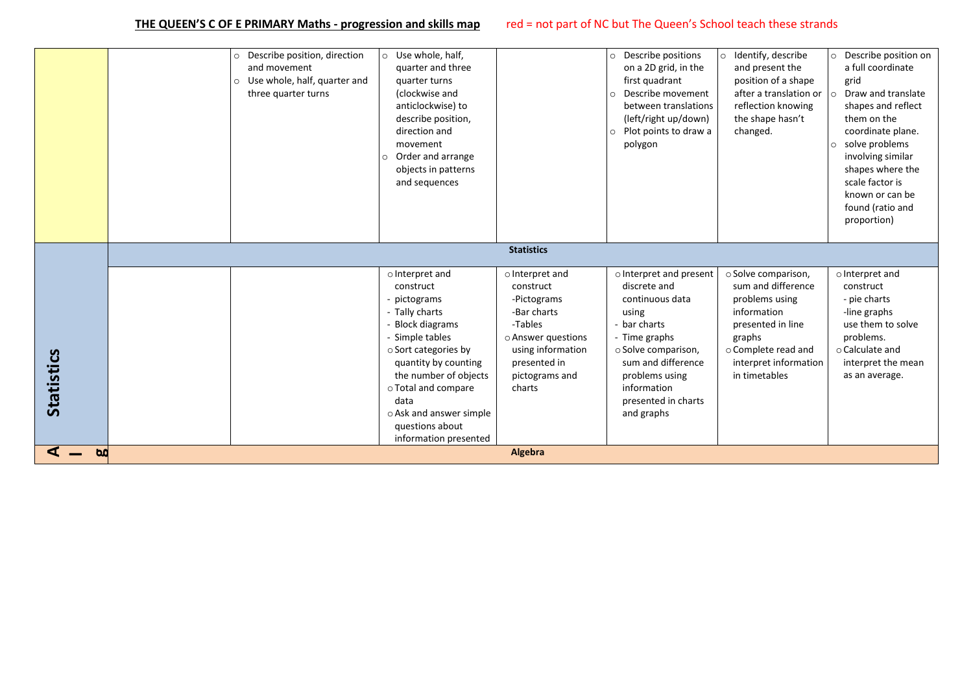|                   | Describe position, direction<br>and movement<br>Use whole, half, quarter and<br>$\circ$<br>three quarter turns | Use whole, half,<br>$\circ$<br>quarter and three<br>quarter turns<br>(clockwise and<br>anticlockwise) to<br>describe position,<br>direction and<br>movement<br>Order and arrange<br>$\circ$<br>objects in patterns<br>and sequences                                                  |                                                                                                                                                              | Describe positions<br>$\circ$<br>on a 2D grid, in the<br>first quadrant<br>Describe movement<br>$\circ$<br>between translations<br>(left/right up/down)<br>Plot points to draw a<br>$\circ$<br>polygon                  | o Identify, describe<br>and present the<br>position of a shape<br>after a translation or<br>reflection knowing<br>the shape hasn't<br>changed.                             | O Describe position on<br>a full coordinate<br>grid<br>Draw and translate<br>$\circ$<br>shapes and reflect<br>them on the<br>coordinate plane.<br>o solve problems<br>involving similar<br>shapes where the<br>scale factor is<br>known or can be<br>found (ratio and<br>proportion) |
|-------------------|----------------------------------------------------------------------------------------------------------------|--------------------------------------------------------------------------------------------------------------------------------------------------------------------------------------------------------------------------------------------------------------------------------------|--------------------------------------------------------------------------------------------------------------------------------------------------------------|-------------------------------------------------------------------------------------------------------------------------------------------------------------------------------------------------------------------------|----------------------------------------------------------------------------------------------------------------------------------------------------------------------------|--------------------------------------------------------------------------------------------------------------------------------------------------------------------------------------------------------------------------------------------------------------------------------------|
|                   |                                                                                                                |                                                                                                                                                                                                                                                                                      | <b>Statistics</b>                                                                                                                                            |                                                                                                                                                                                                                         |                                                                                                                                                                            |                                                                                                                                                                                                                                                                                      |
| <b>Statistics</b> |                                                                                                                | o Interpret and<br>construct<br>- pictograms<br>- Tally charts<br>- Block diagrams<br>- Simple tables<br>○ Sort categories by<br>quantity by counting<br>the number of objects<br>○ Total and compare<br>data<br>o Ask and answer simple<br>questions about<br>information presented | o Interpret and<br>construct<br>-Pictograms<br>-Bar charts<br>-Tables<br>○ Answer questions<br>using information<br>presented in<br>pictograms and<br>charts | o Interpret and present<br>discrete and<br>continuous data<br>using<br>- bar charts<br>- Time graphs<br>o Solve comparison,<br>sum and difference<br>problems using<br>information<br>presented in charts<br>and graphs | ○ Solve comparison,<br>sum and difference<br>problems using<br>information<br>presented in line<br>graphs<br>o Complete read and<br>interpret information<br>in timetables | o Interpret and<br>construct<br>- pie charts<br>-line graphs<br>use them to solve<br>problems.<br>$\circ$ Calculate and<br>interpret the mean<br>as an average.                                                                                                                      |
| $\mathbf{b}$      |                                                                                                                |                                                                                                                                                                                                                                                                                      | Algebra                                                                                                                                                      |                                                                                                                                                                                                                         |                                                                                                                                                                            |                                                                                                                                                                                                                                                                                      |